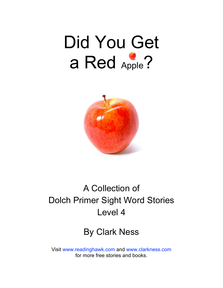# Did You Get a Red Apple?



# A Collection of Dolch Primer Sight Word Stories Level 4

## By Clark Ness

Visit [www.readinghawk.com](http://www.readinghawk.com) and [www.clarkness.com](http://www.clarkness.com) for more free stories and books.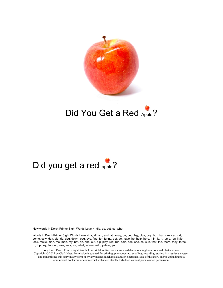

## Did You Get a Red Apple?

## Did you get a red apple?

New words in Dolch Primer Sight Words Level 4: did, do, get, so, what

Words in Dolch Primer Sight Words Level 4: a, all, am, and, at, away, be, bed, big, blue, boy, box, but, can, car, cat, come, cow, day, did, do, dog, down, egg, eye, find, for, funny, get, go, have, he, help, here, I, in, is, it, jump, leg, little, look, make, man, me, men, my, not, on, one, out, pig, play, red, run, said, see, she, so, sun, that, the, there, they, three, to, top, toy, two, up, was, way, we, what, where, with, yellow, you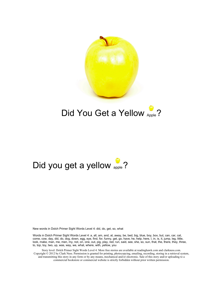

## Did You Get a Yellow Apple?

# Did you get a yellow apple?

New words in Dolch Primer Sight Words Level 4: did, do, get, so, what

Words in Dolch Primer Sight Words Level 4: a, all, am, and, at, away, be, bed, big, blue, boy, box, but, can, car, cat, come, cow, day, did, do, dog, down, egg, eye, find, for, funny, get, go, have, he, help, here, I, in, is, it, jump, leg, little, look, make, man, me, men, my, not, on, one, out, pig, play, red, run, said, see, she, so, sun, that, the, there, they, three, to, top, toy, two, up, was, way, we, what, where, with, yellow, you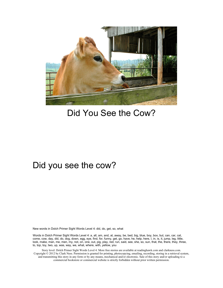

## Did You See the Cow?

#### Did you see the cow?

New words in Dolch Primer Sight Words Level 4: did, do, get, so, what

Words in Dolch Primer Sight Words Level 4: a, all, am, and, at, away, be, bed, big, blue, boy, box, but, can, car, cat, come, cow, day, did, do, dog, down, egg, eye, find, for, funny, get, go, have, he, help, here, I, in, is, it, jump, leg, little, look, make, man, me, men, my, not, on, one, out, pig, play, red, run, said, see, she, so, sun, that, the, there, they, three, to, top, toy, two, up, was, way, we, what, where, with, yellow, you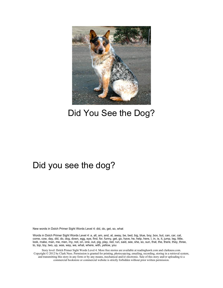

## Did You See the Dog?

#### Did you see the dog?

New words in Dolch Primer Sight Words Level 4: did, do, get, so, what

Words in Dolch Primer Sight Words Level 4: a, all, am, and, at, away, be, bed, big, blue, boy, box, but, can, car, cat, come, cow, day, did, do, dog, down, egg, eye, find, for, funny, get, go, have, he, help, here, I, in, is, it, jump, leg, little, look, make, man, me, men, my, not, on, one, out, pig, play, red, run, said, see, she, so, sun, that, the, there, they, three, to, top, toy, two, up, was, way, we, what, where, with, yellow, you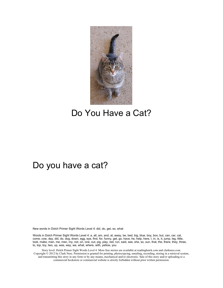

### Do You Have a Cat?

#### Do you have a cat?

New words in Dolch Primer Sight Words Level 4: did, do, get, so, what

Words in Dolch Primer Sight Words Level 4: a, all, am, and, at, away, be, bed, big, blue, boy, box, but, can, car, cat, come, cow, day, did, do, dog, down, egg, eye, find, for, funny, get, go, have, he, help, here, I, in, is, it, jump, leg, little, look, make, man, me, men, my, not, on, one, out, pig, play, red, run, said, see, she, so, sun, that, the, there, they, three, to, top, toy, two, up, was, way, we, what, where, with, yellow, you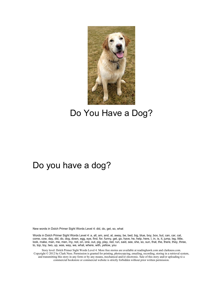

## Do You Have a Dog?

#### Do you have a dog?

New words in Dolch Primer Sight Words Level 4: did, do, get, so, what

Words in Dolch Primer Sight Words Level 4: a, all, am, and, at, away, be, bed, big, blue, boy, box, but, can, car, cat, come, cow, day, did, do, dog, down, egg, eye, find, for, funny, get, go, have, he, help, here, I, in, is, it, jump, leg, little, look, make, man, me, men, my, not, on, one, out, pig, play, red, run, said, see, she, so, sun, that, the, there, they, three, to, top, toy, two, up, was, way, we, what, where, with, yellow, you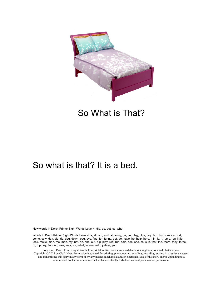

#### So What is That?

#### So what is that? It is a bed.

New words in Dolch Primer Sight Words Level 4: did, do, get, so, what

Words in Dolch Primer Sight Words Level 4: a, all, am, and, at, away, be, bed, big, blue, boy, box, but, can, car, cat, come, cow, day, did, do, dog, down, egg, eye, find, for, funny, get, go, have, he, help, here, I, in, is, it, jump, leg, little, look, make, man, me, men, my, not, on, one, out, pig, play, red, run, said, see, she, so, sun, that, the, there, they, three, to, top, toy, two, up, was, way, we, what, where, with, yellow, you